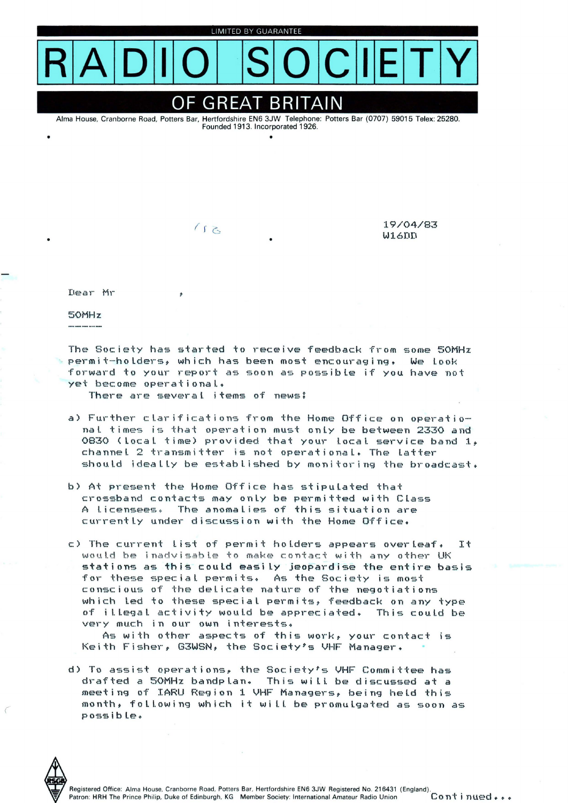**OF GREAT BRITAIN** 

Alma House, Cranborne Road, Potters Bar, Hertfordshire EN6 3JW Telephone: Potters Bar (0707) 59015 Telex: 25280. Founded 1913. Incorporated 1926 .

•

 $116$ 

19/04/83  $W1.6DD$ 

Dear Mr

~"50MHz .... .... .... .... ...

•

The Society has started to receive feedback from some 50MHz permit-holders, which has been most encouraging. We Look forward to your report as soon as possible if you have not yet become operational.

There are several items of news:

- a) Further clarifications from the Home Office on operational times is that operation must only be between 2330 and 0830 (local time) provided that your Local service band 1, channel 2 transmitter is not operational. The latter should ideall.y be established by monitoring the broadcast.
- b) At present the Home Office has stipulated that crossband contacts may only be permitted with Class A Licensees. The anomalies of this situation are currently under discussion with the Home Office.
- c) The current list of permit hol.ders appears overleaf. It would be inadvisable to make contact with any other UK stations as this could easi Ly jeopardise the entire basis for these special permits. As the Society is most conscious of the delicate nature of the negotiations which led to these special permits, feedback on any type of i I.Legal activity would be appreciated. This could be very much in our own interests.

As with other aspects of this work, your contact is Keith Fisher, G3WSN, the Society's VHF Manager.

d) To assist operations~ the Society's UHF Committee has drafted a 50MHz bandplan. This wi Lt be discussed at a meeting of IARU Region 1 VHF Managers, being held this month, following which it wi LL be promulgated as soon as possible.

*(* 

Patron: HRH The Prince Philip, Duke of Edinburgh, KG Member Society: International Amateur Radio Union .<br>"Registered Office: Alma House, Cranborne Road, Potters Bar, Hertfordshire EN6 3JW Registered No. 216431 (England)<br>"Patron: HRH The Prince Philip, Duke of Edinburgh, KG Member Society: International Amateur Radio Unio